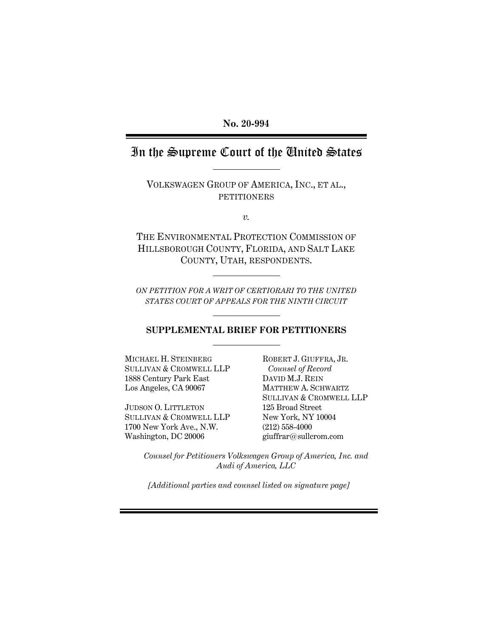### **No. 20-994**

# In the Supreme Court of the United States

VOLKSWAGEN GROUP OF AMERICA, INC., ET AL., **PETITIONERS** 

*v.*

THE ENVIRONMENTAL PROTECTION COMMISSION OF HILLSBOROUGH COUNTY, FLORIDA, AND SALT LAKE COUNTY, UTAH, RESPONDENTS.

*ON PETITION FOR A WRIT OF CERTIORARI TO THE UNITED STATES COURT OF APPEALS FOR THE NINTH CIRCUIT*

#### **SUPPLEMENTAL BRIEF FOR PETITIONERS**

MICHAEL H. STEINBERG SULLIVAN & CROMWELL LLP 1888 Century Park East Los Angeles, CA 90067

JUDSON O. LITTLETON SULLIVAN & CROMWELL LLP 1700 New York Ave., N.W. Washington, DC 20006

ROBERT J. GIUFFRA, JR. *Counsel of Record* DAVID M.J. REIN MATTHEW A. SCHWARTZ SULLIVAN & CROMWELL LLP 125 Broad Street New York, NY 10004 (212) 558-4000 giuffrar@sullcrom.com

*Counsel for Petitioners Volkswagen Group of America, Inc. and Audi of America, LLC*

*[Additional parties and counsel listed on signature page]*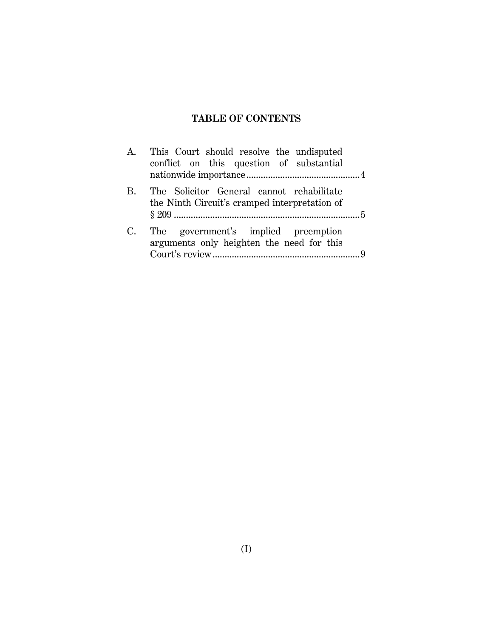## **TABLE OF CONTENTS**

|    | This Court should resolve the undisputed<br>conflict on this question of substantial       |  |
|----|--------------------------------------------------------------------------------------------|--|
| B. | The Solicitor General cannot rehabilitate<br>the Ninth Circuit's cramped interpretation of |  |
| C. | The government's implied preemption<br>arguments only heighten the need for this           |  |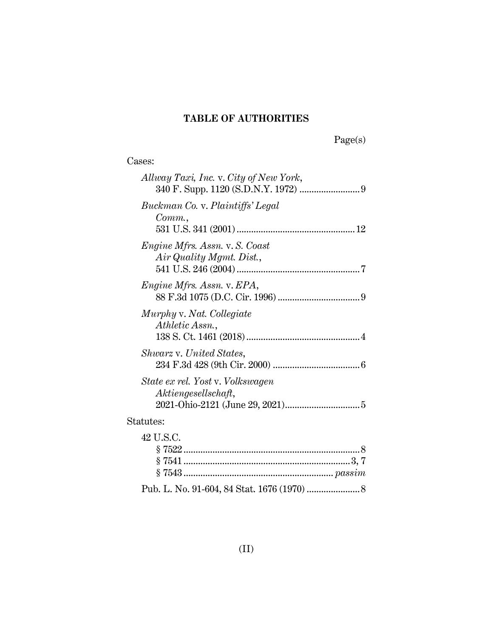## **TABLE OF AUTHORITIES**

Page(s)

### Cases:

| Allway Taxi, Inc. v. City of New York,                     |
|------------------------------------------------------------|
| Buckman Co. v. Plaintiffs' Legal<br>Comm.                  |
| Engine Mfrs. Assn. v. S. Coast<br>Air Quality Mgmt. Dist., |
| <i>Engine Mfrs. Assn. v. EPA,</i>                          |
| Murphy v. Nat. Collegiate<br>Athletic Assn.,               |
| Shwarz v. United States,                                   |
| State ex rel. Yost v. Volkswagen<br>Aktiengesellschaft,    |
| Statutes:                                                  |
| 42 U.S.C.                                                  |

Pub. L. No. 91-604, 84 Stat. 1676 (1970) ......................8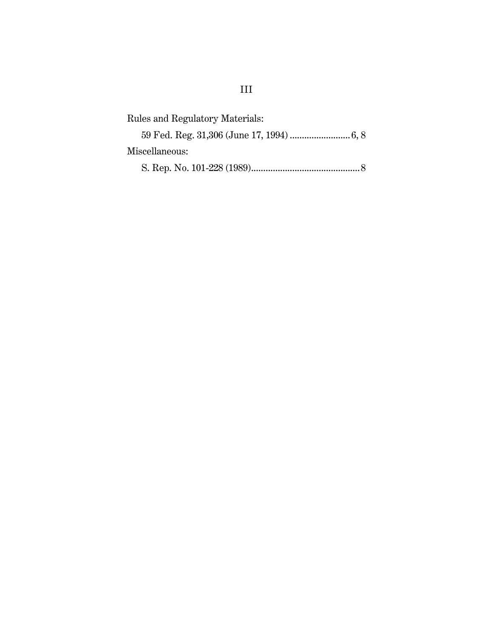| Rules and Regulatory Materials: |  |
|---------------------------------|--|
|                                 |  |
| Miscellaneous:                  |  |
|                                 |  |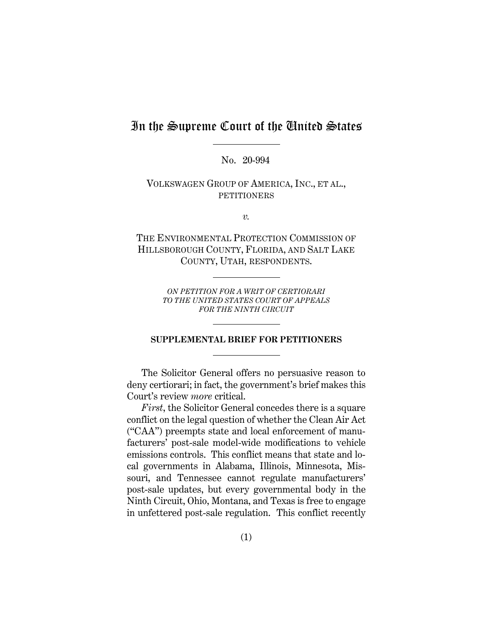## In the Supreme Court of the United States

No. 20-994

VOLKSWAGEN GROUP OF AMERICA, INC., ET AL., PETITIONERS

*v.*

THE ENVIRONMENTAL PROTECTION COMMISSION OF HILLSBOROUGH COUNTY, FLORIDA, AND SALT LAKE COUNTY, UTAH, RESPONDENTS.

> *ON PETITION FOR A WRIT OF CERTIORARI TO THE UNITED STATES COURT OF APPEALS FOR THE NINTH CIRCUIT*

#### **SUPPLEMENTAL BRIEF FOR PETITIONERS**

The Solicitor General offers no persuasive reason to deny certiorari; in fact, the government's brief makes this Court's review *more* critical.

*First*, the Solicitor General concedes there is a square conflict on the legal question of whether the Clean Air Act ("CAA") preempts state and local enforcement of manufacturers' post-sale model-wide modifications to vehicle emissions controls. This conflict means that state and local governments in Alabama, Illinois, Minnesota, Missouri, and Tennessee cannot regulate manufacturers' post-sale updates, but every governmental body in the Ninth Circuit, Ohio, Montana, and Texas is free to engage in unfettered post-sale regulation. This conflict recently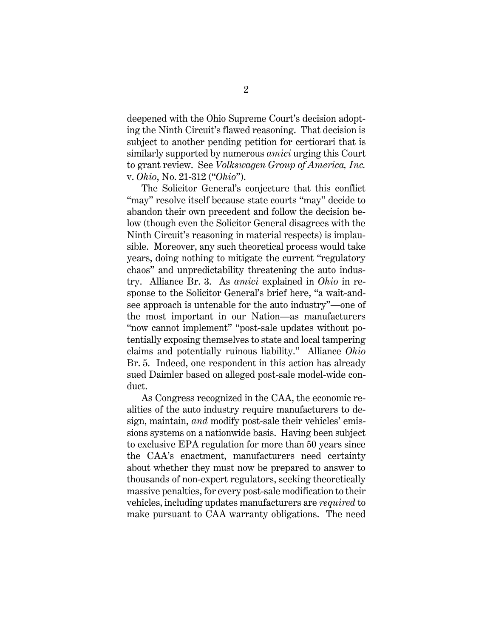deepened with the Ohio Supreme Court's decision adopting the Ninth Circuit's flawed reasoning. That decision is subject to another pending petition for certiorari that is similarly supported by numerous *amici* urging this Court to grant review. See *Volkswagen Group of America, Inc.*  v. *Ohio*, No. 21-312 ("*Ohio*").

The Solicitor General's conjecture that this conflict "may" resolve itself because state courts "may" decide to abandon their own precedent and follow the decision below (though even the Solicitor General disagrees with the Ninth Circuit's reasoning in material respects) is implausible. Moreover, any such theoretical process would take years, doing nothing to mitigate the current "regulatory chaos" and unpredictability threatening the auto industry. Alliance Br. 3. As *amici* explained in *Ohio* in response to the Solicitor General's brief here, "a wait-andsee approach is untenable for the auto industry"—one of the most important in our Nation—as manufacturers "now cannot implement" "post-sale updates without potentially exposing themselves to state and local tampering claims and potentially ruinous liability." Alliance *Ohio* Br. 5. Indeed, one respondent in this action has already sued Daimler based on alleged post-sale model-wide conduct.

As Congress recognized in the CAA, the economic realities of the auto industry require manufacturers to design, maintain, *and* modify post-sale their vehicles' emissions systems on a nationwide basis. Having been subject to exclusive EPA regulation for more than 50 years since the CAA's enactment, manufacturers need certainty about whether they must now be prepared to answer to thousands of non-expert regulators, seeking theoretically massive penalties, for every post-sale modification to their vehicles, including updates manufacturers are *required* to make pursuant to CAA warranty obligations. The need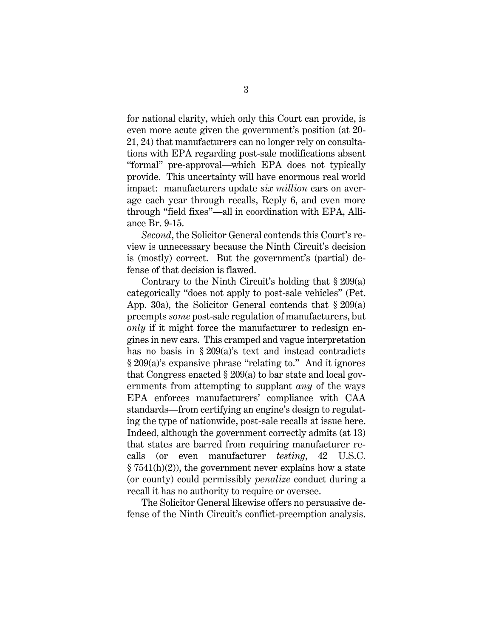for national clarity, which only this Court can provide, is even more acute given the government's position (at 20- 21, 24) that manufacturers can no longer rely on consultations with EPA regarding post-sale modifications absent "formal" pre-approval—which EPA does not typically provide. This uncertainty will have enormous real world impact: manufacturers update *six million* cars on average each year through recalls, Reply 6, and even more through "field fixes"—all in coordination with EPA, Alliance Br. 9-15.

*Second*, the Solicitor General contends this Court's review is unnecessary because the Ninth Circuit's decision is (mostly) correct. But the government's (partial) defense of that decision is flawed.

Contrary to the Ninth Circuit's holding that  $\S 209(a)$ categorically "does not apply to post-sale vehicles" (Pet. App. 30a), the Solicitor General contends that § 209(a) preempts *some* post-sale regulation of manufacturers, but *only* if it might force the manufacturer to redesign engines in new cars. This cramped and vague interpretation has no basis in § 209(a)'s text and instead contradicts § 209(a)'s expansive phrase "relating to." And it ignores that Congress enacted § 209(a) to bar state and local governments from attempting to supplant *any* of the ways EPA enforces manufacturers' compliance with CAA standards—from certifying an engine's design to regulating the type of nationwide, post-sale recalls at issue here. Indeed, although the government correctly admits (at 13) that states are barred from requiring manufacturer recalls (or even manufacturer *testing*, 42 U.S.C.  $\S 7541(h)(2)$ , the government never explains how a state (or county) could permissibly *penalize* conduct during a recall it has no authority to require or oversee.

The Solicitor General likewise offers no persuasive defense of the Ninth Circuit's conflict-preemption analysis.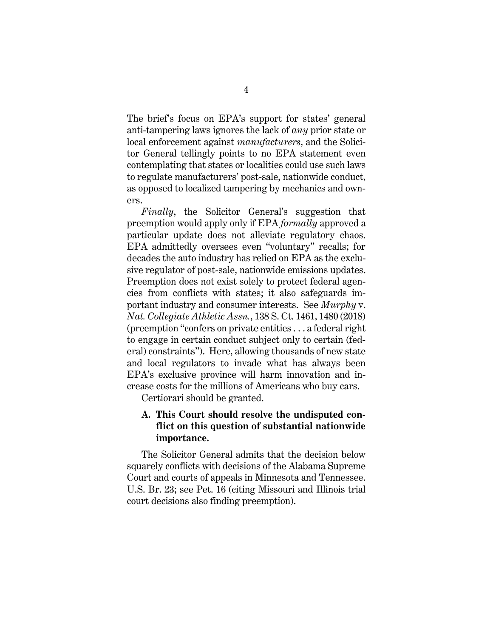The brief's focus on EPA's support for states' general anti-tampering laws ignores the lack of *any* prior state or local enforcement against *manufacturers*, and the Solicitor General tellingly points to no EPA statement even contemplating that states or localities could use such laws to regulate manufacturers' post-sale, nationwide conduct, as opposed to localized tampering by mechanics and owners.

*Finally*, the Solicitor General's suggestion that preemption would apply only if EPA *formally* approved a particular update does not alleviate regulatory chaos. EPA admittedly oversees even "voluntary" recalls; for decades the auto industry has relied on EPA as the exclusive regulator of post-sale, nationwide emissions updates. Preemption does not exist solely to protect federal agencies from conflicts with states; it also safeguards important industry and consumer interests. See *Murphy* v. *Nat. Collegiate Athletic Assn.*, 138 S. Ct. 1461, 1480 (2018) (preemption "confers on private entities . . . a federal right to engage in certain conduct subject only to certain (federal) constraints"). Here, allowing thousands of new state and local regulators to invade what has always been EPA's exclusive province will harm innovation and increase costs for the millions of Americans who buy cars.

Certiorari should be granted.

### **A. This Court should resolve the undisputed conflict on this question of substantial nationwide importance.**

The Solicitor General admits that the decision below squarely conflicts with decisions of the Alabama Supreme Court and courts of appeals in Minnesota and Tennessee. U.S. Br. 23; see Pet. 16 (citing Missouri and Illinois trial court decisions also finding preemption).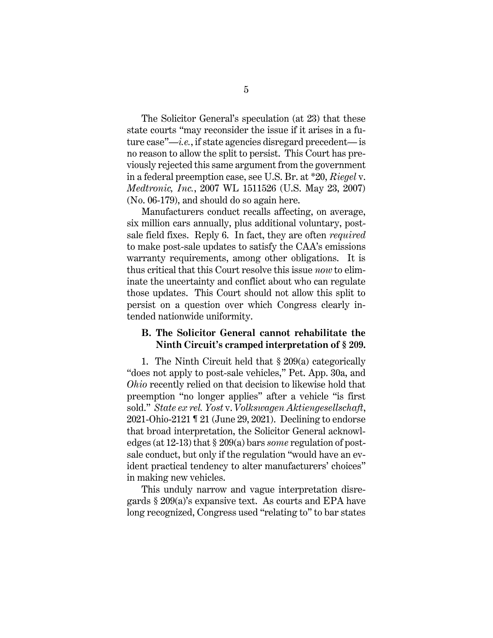The Solicitor General's speculation (at 23) that these state courts "may reconsider the issue if it arises in a future case"—*i.e.*, if state agencies disregard precedent— is no reason to allow the split to persist. This Court has previously rejected this same argument from the government in a federal preemption case, see U.S. Br. at \*20, *Riegel* v. *Medtronic, Inc.*, 2007 WL 1511526 (U.S. May 23, 2007) (No. 06-179), and should do so again here.

Manufacturers conduct recalls affecting, on average, six million cars annually, plus additional voluntary, postsale field fixes. Reply 6. In fact, they are often *required*  to make post-sale updates to satisfy the CAA's emissions warranty requirements, among other obligations. It is thus critical that this Court resolve this issue *now* to eliminate the uncertainty and conflict about who can regulate those updates. This Court should not allow this split to persist on a question over which Congress clearly intended nationwide uniformity.

### **B. The Solicitor General cannot rehabilitate the Ninth Circuit's cramped interpretation of § 209.**

1. The Ninth Circuit held that § 209(a) categorically "does not apply to post-sale vehicles," Pet. App. 30a, and *Ohio* recently relied on that decision to likewise hold that preemption "no longer applies" after a vehicle "is first sold." *State ex rel. Yost* v. *Volkswagen Aktiengesellschaft*, 2021-Ohio-2121 ¶ 21 (June 29, 2021). Declining to endorse that broad interpretation, the Solicitor General acknowledges (at 12-13) that § 209(a) bars *some* regulation of postsale conduct, but only if the regulation "would have an evident practical tendency to alter manufacturers' choices" in making new vehicles.

This unduly narrow and vague interpretation disregards § 209(a)'s expansive text. As courts and EPA have long recognized, Congress used "relating to" to bar states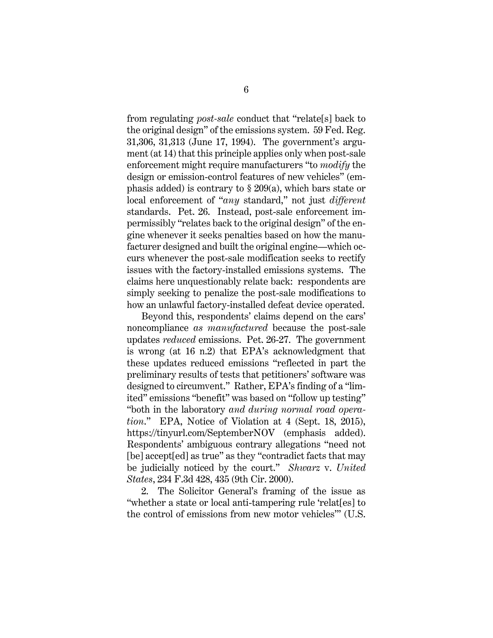from regulating *post-sale* conduct that "relate[s] back to the original design" of the emissions system. 59 Fed. Reg. 31,306, 31,313 (June 17, 1994). The government's argument (at 14) that this principle applies only when post-sale enforcement might require manufacturers "to *modify* the design or emission-control features of new vehicles" (emphasis added) is contrary to § 209(a), which bars state or local enforcement of "*any* standard," not just *different*  standards. Pet. 26. Instead, post-sale enforcement impermissibly "relates back to the original design" of the engine whenever it seeks penalties based on how the manufacturer designed and built the original engine—which occurs whenever the post-sale modification seeks to rectify issues with the factory-installed emissions systems. The claims here unquestionably relate back: respondents are simply seeking to penalize the post-sale modifications to how an unlawful factory-installed defeat device operated.

Beyond this, respondents' claims depend on the cars' noncompliance *as manufactured* because the post-sale updates *reduced* emissions. Pet. 26-27. The government is wrong (at 16 n.2) that EPA's acknowledgment that these updates reduced emissions "reflected in part the preliminary results of tests that petitioners' software was designed to circumvent." Rather, EPA's finding of a "limited" emissions "benefit" was based on "follow up testing" "both in the laboratory *and during normal road operation*." EPA, Notice of Violation at 4 (Sept. 18, 2015), https://tinyurl.com/SeptemberNOV (emphasis added). Respondents' ambiguous contrary allegations "need not [be] accept[ed] as true" as they "contradict facts that may be judicially noticed by the court." *Shwarz* v. *United States*, 234 F.3d 428, 435 (9th Cir. 2000).

2. The Solicitor General's framing of the issue as "whether a state or local anti-tampering rule 'relat[es] to the control of emissions from new motor vehicles'" (U.S.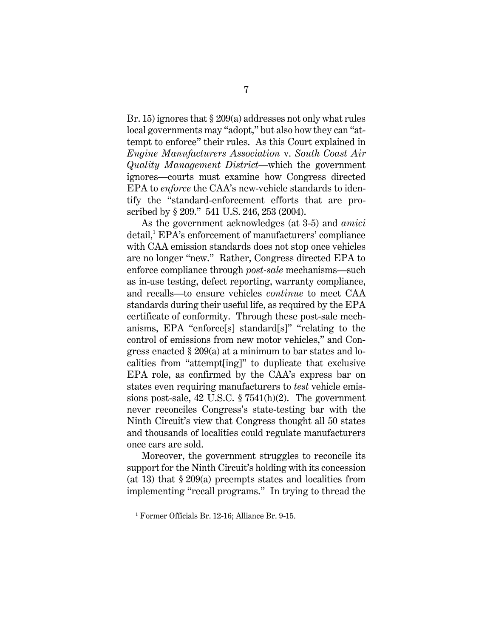Br. 15) ignores that § 209(a) addresses not only what rules local governments may "adopt," but also how they can "attempt to enforce" their rules. As this Court explained in *Engine Manufacturers Association* v. *South Coast Air Quality Management District*—which the government ignores—courts must examine how Congress directed EPA to *enforce* the CAA's new-vehicle standards to identify the "standard-enforcement efforts that are proscribed by § 209." 541 U.S. 246, 253 (2004).

As the government acknowledges (at 3-5) and *amici*  detail,<sup>1</sup> EPA's enforcement of manufacturers' compliance with CAA emission standards does not stop once vehicles are no longer "new." Rather, Congress directed EPA to enforce compliance through *post-sale* mechanisms—such as in-use testing, defect reporting, warranty compliance, and recalls—to ensure vehicles *continue* to meet CAA standards during their useful life, as required by the EPA certificate of conformity. Through these post-sale mechanisms, EPA "enforce[s] standard[s]" "relating to the control of emissions from new motor vehicles," and Congress enacted § 209(a) at a minimum to bar states and localities from "attempt[ing]" to duplicate that exclusive EPA role, as confirmed by the CAA's express bar on states even requiring manufacturers to *test* vehicle emissions post-sale, 42 U.S.C. § 7541(h)(2). The government never reconciles Congress's state-testing bar with the Ninth Circuit's view that Congress thought all 50 states and thousands of localities could regulate manufacturers once cars are sold.

Moreover, the government struggles to reconcile its support for the Ninth Circuit's holding with its concession (at 13) that § 209(a) preempts states and localities from implementing "recall programs." In trying to thread the

 $\overline{a}$ 

<sup>1</sup> Former Officials Br. 12-16; Alliance Br. 9-15.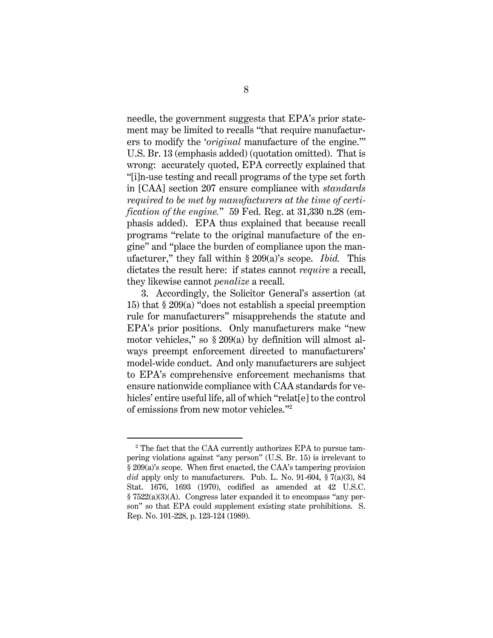needle, the government suggests that EPA's prior statement may be limited to recalls "that require manufacturers to modify the '*original* manufacture of the engine.'" U.S. Br. 13 (emphasis added) (quotation omitted). That is wrong: accurately quoted, EPA correctly explained that "[i]n-use testing and recall programs of the type set forth in [CAA] section 207 ensure compliance with *standards required to be met by manufacturers at the time of certification of the engine.*" 59 Fed. Reg. at 31,330 n.28 (emphasis added). EPA thus explained that because recall programs "relate to the original manufacture of the engine" and "place the burden of compliance upon the manufacturer," they fall within § 209(a)'s scope. *Ibid.* This dictates the result here: if states cannot *require* a recall, they likewise cannot *penalize* a recall.

3. Accordingly, the Solicitor General's assertion (at 15) that § 209(a) "does not establish a special preemption rule for manufacturers" misapprehends the statute and EPA's prior positions. Only manufacturers make "new motor vehicles," so § 209(a) by definition will almost always preempt enforcement directed to manufacturers' model-wide conduct. And only manufacturers are subject to EPA's comprehensive enforcement mechanisms that ensure nationwide compliance with CAA standards for vehicles' entire useful life, all of which "relat[e] to the control of emissions from new motor vehicles."<sup>2</sup>

 $\overline{a}$ 

<sup>&</sup>lt;sup>2</sup> The fact that the CAA currently authorizes EPA to pursue tampering violations against "any person" (U.S. Br. 15) is irrelevant to § 209(a)'s scope. When first enacted, the CAA's tampering provision *did* apply only to manufacturers. Pub. L. No. 91-604,  $\frac{8}{3}$  7(a)(3), 84 Stat. 1676, 1693 (1970), codified as amended at 42 U.S.C. § 7522(a)(3)(A). Congress later expanded it to encompass "any person" so that EPA could supplement existing state prohibitions. S. Rep. No. 101-228, p. 123-124 (1989).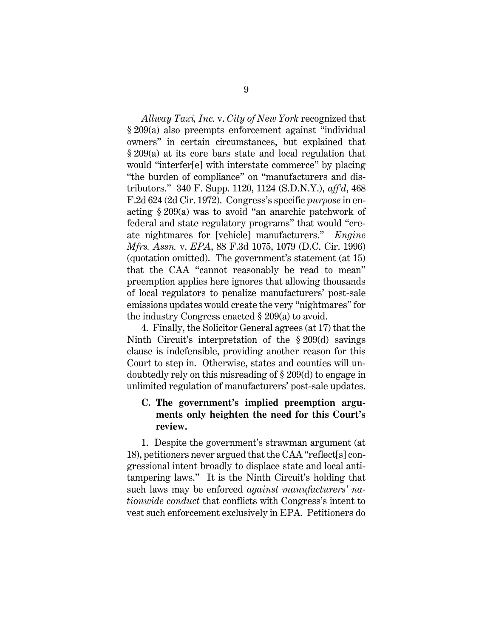*Allway Taxi, Inc.* v. *City of New York* recognized that § 209(a) also preempts enforcement against "individual owners" in certain circumstances, but explained that § 209(a) at its core bars state and local regulation that would "interfer[e] with interstate commerce" by placing "the burden of compliance" on "manufacturers and distributors." 340 F. Supp. 1120, 1124 (S.D.N.Y.), *aff'd*, 468 F.2d 624 (2d Cir. 1972). Congress's specific *purpose* in enacting § 209(a) was to avoid "an anarchic patchwork of federal and state regulatory programs" that would "create nightmares for [vehicle] manufacturers." *Engine Mfrs. Assn.* v. *EPA*, 88 F.3d 1075, 1079 (D.C. Cir. 1996) (quotation omitted). The government's statement (at 15) that the CAA "cannot reasonably be read to mean" preemption applies here ignores that allowing thousands of local regulators to penalize manufacturers' post-sale emissions updates would create the very "nightmares" for the industry Congress enacted § 209(a) to avoid.

4. Finally, the Solicitor General agrees (at 17) that the Ninth Circuit's interpretation of the § 209(d) savings clause is indefensible, providing another reason for this Court to step in. Otherwise, states and counties will undoubtedly rely on this misreading of § 209(d) to engage in unlimited regulation of manufacturers' post-sale updates.

### **C. The government's implied preemption arguments only heighten the need for this Court's review.**

1. Despite the government's strawman argument (at 18), petitioners never argued that the CAA "reflect[s] congressional intent broadly to displace state and local antitampering laws." It is the Ninth Circuit's holding that such laws may be enforced *against manufacturers' nationwide conduct* that conflicts with Congress's intent to vest such enforcement exclusively in EPA. Petitioners do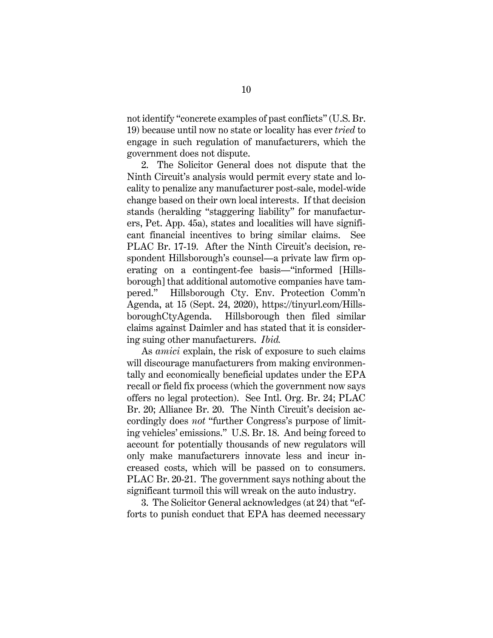not identify "concrete examples of past conflicts" (U.S. Br. 19) because until now no state or locality has ever *tried* to engage in such regulation of manufacturers, which the government does not dispute.

2. The Solicitor General does not dispute that the Ninth Circuit's analysis would permit every state and locality to penalize any manufacturer post-sale, model-wide change based on their own local interests. If that decision stands (heralding "staggering liability" for manufacturers, Pet. App. 45a), states and localities will have significant financial incentives to bring similar claims. See PLAC Br. 17-19. After the Ninth Circuit's decision, respondent Hillsborough's counsel—a private law firm operating on a contingent-fee basis—"informed [Hillsborough] that additional automotive companies have tampered." Hillsborough Cty. Env. Protection Comm'n Agenda, at 15 (Sept. 24, 2020), https://tinyurl.com/HillsboroughCtyAgenda. Hillsborough then filed similar claims against Daimler and has stated that it is considering suing other manufacturers. *Ibid.* 

As *amici* explain, the risk of exposure to such claims will discourage manufacturers from making environmentally and economically beneficial updates under the EPA recall or field fix process (which the government now says offers no legal protection). See Intl. Org. Br. 24; PLAC Br. 20; Alliance Br. 20. The Ninth Circuit's decision accordingly does *not* "further Congress's purpose of limiting vehicles' emissions." U.S. Br. 18. And being forced to account for potentially thousands of new regulators will only make manufacturers innovate less and incur increased costs, which will be passed on to consumers. PLAC Br. 20-21. The government says nothing about the significant turmoil this will wreak on the auto industry.

3. The Solicitor General acknowledges (at 24) that "efforts to punish conduct that EPA has deemed necessary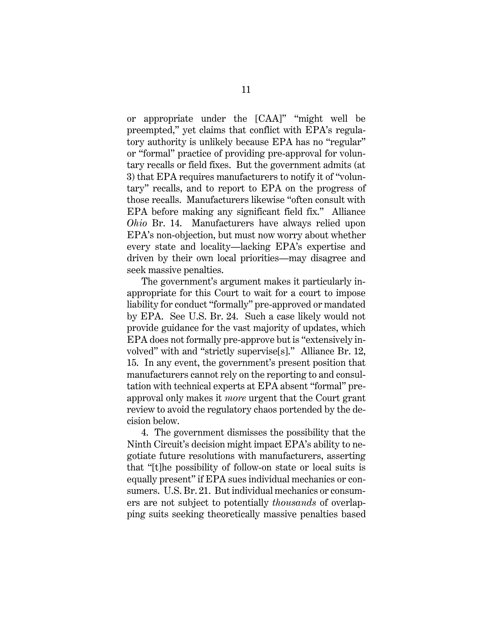or appropriate under the [CAA]" "might well be preempted," yet claims that conflict with EPA's regulatory authority is unlikely because EPA has no "regular" or "formal" practice of providing pre-approval for voluntary recalls or field fixes. But the government admits (at 3) that EPA requires manufacturers to notify it of "voluntary" recalls, and to report to EPA on the progress of those recalls. Manufacturers likewise "often consult with EPA before making any significant field fix." Alliance *Ohio* Br. 14. Manufacturers have always relied upon EPA's non-objection, but must now worry about whether every state and locality—lacking EPA's expertise and driven by their own local priorities—may disagree and seek massive penalties.

The government's argument makes it particularly inappropriate for this Court to wait for a court to impose liability for conduct "formally" pre-approved or mandated by EPA. See U.S. Br. 24. Such a case likely would not provide guidance for the vast majority of updates, which EPA does not formally pre-approve but is "extensively involved" with and "strictly supervise[s]." Alliance Br. 12, 15. In any event, the government's present position that manufacturers cannot rely on the reporting to and consultation with technical experts at EPA absent "formal" preapproval only makes it *more* urgent that the Court grant review to avoid the regulatory chaos portended by the decision below.

4. The government dismisses the possibility that the Ninth Circuit's decision might impact EPA's ability to negotiate future resolutions with manufacturers, asserting that "[t]he possibility of follow-on state or local suits is equally present" if EPA sues individual mechanics or consumers. U.S. Br. 21. But individual mechanics or consumers are not subject to potentially *thousands* of overlapping suits seeking theoretically massive penalties based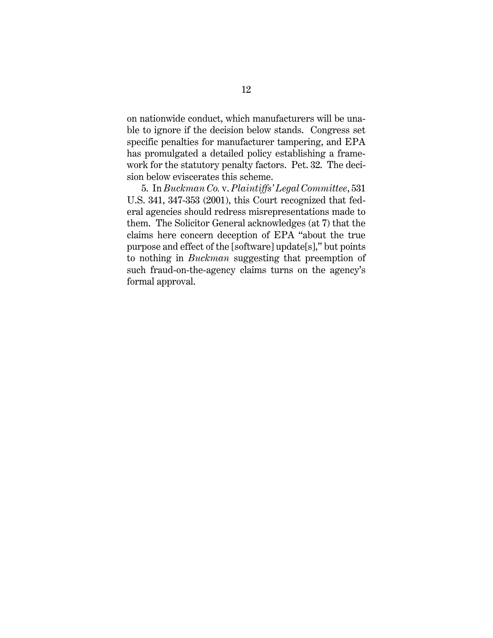on nationwide conduct, which manufacturers will be unable to ignore if the decision below stands. Congress set specific penalties for manufacturer tampering, and EPA has promulgated a detailed policy establishing a framework for the statutory penalty factors. Pet. 32. The decision below eviscerates this scheme.

5. In *Buckman Co.* v. *Plaintiffs' Legal Committee*, 531 U.S. 341, 347-353 (2001), this Court recognized that federal agencies should redress misrepresentations made to them. The Solicitor General acknowledges (at 7) that the claims here concern deception of EPA "about the true purpose and effect of the [software] update[s]," but points to nothing in *Buckman* suggesting that preemption of such fraud-on-the-agency claims turns on the agency's formal approval.